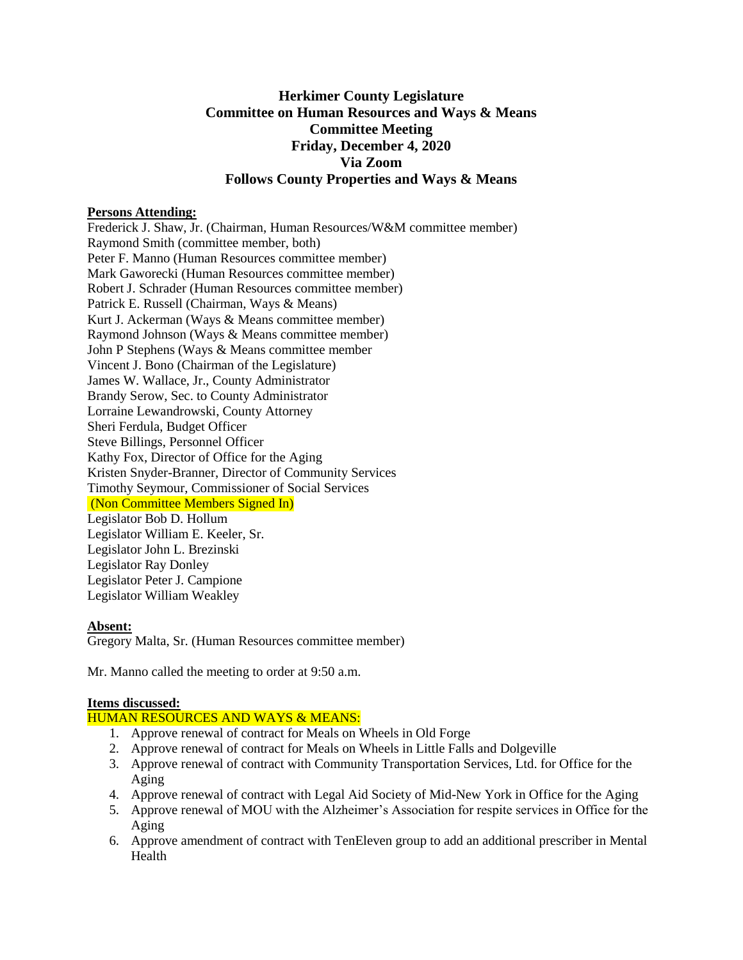# **Herkimer County Legislature Committee on Human Resources and Ways & Means Committee Meeting Friday, December 4, 2020 Via Zoom Follows County Properties and Ways & Means**

### **Persons Attending:**

Frederick J. Shaw, Jr. (Chairman, Human Resources/W&M committee member) Raymond Smith (committee member, both) Peter F. Manno (Human Resources committee member) Mark Gaworecki (Human Resources committee member) Robert J. Schrader (Human Resources committee member) Patrick E. Russell (Chairman, Ways & Means) Kurt J. Ackerman (Ways & Means committee member) Raymond Johnson (Ways & Means committee member) John P Stephens (Ways & Means committee member Vincent J. Bono (Chairman of the Legislature) James W. Wallace, Jr., County Administrator Brandy Serow, Sec. to County Administrator Lorraine Lewandrowski, County Attorney Sheri Ferdula, Budget Officer Steve Billings, Personnel Officer Kathy Fox, Director of Office for the Aging Kristen Snyder-Branner, Director of Community Services Timothy Seymour, Commissioner of Social Services (Non Committee Members Signed In) Legislator Bob D. Hollum Legislator William E. Keeler, Sr. Legislator John L. Brezinski Legislator Ray Donley Legislator Peter J. Campione Legislator William Weakley

#### **Absent:**

Gregory Malta, Sr. (Human Resources committee member)

Mr. Manno called the meeting to order at 9:50 a.m.

# **Items discussed:**

# HUMAN RESOURCES AND WAYS & MEANS:

- 1. Approve renewal of contract for Meals on Wheels in Old Forge
- 2. Approve renewal of contract for Meals on Wheels in Little Falls and Dolgeville
- 3. Approve renewal of contract with Community Transportation Services, Ltd. for Office for the Aging
- 4. Approve renewal of contract with Legal Aid Society of Mid-New York in Office for the Aging
- 5. Approve renewal of MOU with the Alzheimer's Association for respite services in Office for the Aging
- 6. Approve amendment of contract with TenEleven group to add an additional prescriber in Mental Health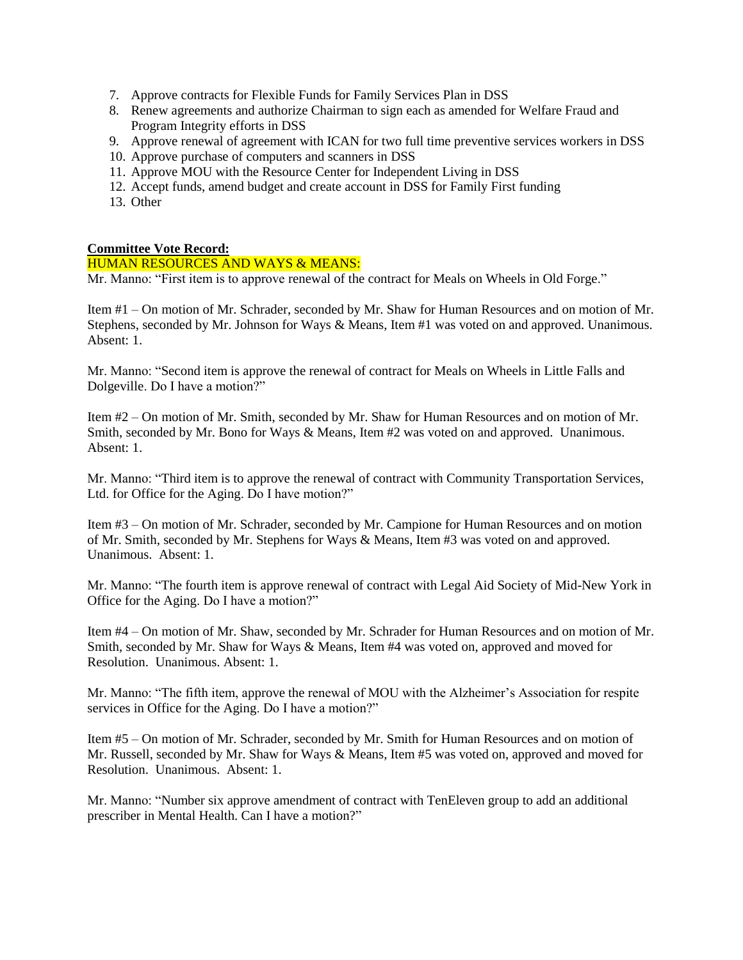- 7. Approve contracts for Flexible Funds for Family Services Plan in DSS
- 8. Renew agreements and authorize Chairman to sign each as amended for Welfare Fraud and Program Integrity efforts in DSS
- 9. Approve renewal of agreement with ICAN for two full time preventive services workers in DSS
- 10. Approve purchase of computers and scanners in DSS
- 11. Approve MOU with the Resource Center for Independent Living in DSS
- 12. Accept funds, amend budget and create account in DSS for Family First funding
- 13. Other

#### **Committee Vote Record:**

#### HUMAN RESOURCES AND WAYS & MEANS:

Mr. Manno: "First item is to approve renewal of the contract for Meals on Wheels in Old Forge."

Item #1 – On motion of Mr. Schrader, seconded by Mr. Shaw for Human Resources and on motion of Mr. Stephens, seconded by Mr. Johnson for Ways & Means, Item #1 was voted on and approved. Unanimous. Absent: 1.

Mr. Manno: "Second item is approve the renewal of contract for Meals on Wheels in Little Falls and Dolgeville. Do I have a motion?"

Item #2 – On motion of Mr. Smith, seconded by Mr. Shaw for Human Resources and on motion of Mr. Smith, seconded by Mr. Bono for Ways & Means, Item #2 was voted on and approved. Unanimous. Absent: 1.

Mr. Manno: "Third item is to approve the renewal of contract with Community Transportation Services, Ltd. for Office for the Aging. Do I have motion?"

Item #3 – On motion of Mr. Schrader, seconded by Mr. Campione for Human Resources and on motion of Mr. Smith, seconded by Mr. Stephens for Ways & Means, Item #3 was voted on and approved. Unanimous. Absent: 1.

Mr. Manno: "The fourth item is approve renewal of contract with Legal Aid Society of Mid-New York in Office for the Aging. Do I have a motion?"

Item #4 – On motion of Mr. Shaw, seconded by Mr. Schrader for Human Resources and on motion of Mr. Smith, seconded by Mr. Shaw for Ways & Means, Item #4 was voted on, approved and moved for Resolution. Unanimous. Absent: 1.

Mr. Manno: "The fifth item, approve the renewal of MOU with the Alzheimer's Association for respite services in Office for the Aging. Do I have a motion?"

Item #5 – On motion of Mr. Schrader, seconded by Mr. Smith for Human Resources and on motion of Mr. Russell, seconded by Mr. Shaw for Ways & Means, Item #5 was voted on, approved and moved for Resolution. Unanimous. Absent: 1.

Mr. Manno: "Number six approve amendment of contract with TenEleven group to add an additional prescriber in Mental Health. Can I have a motion?"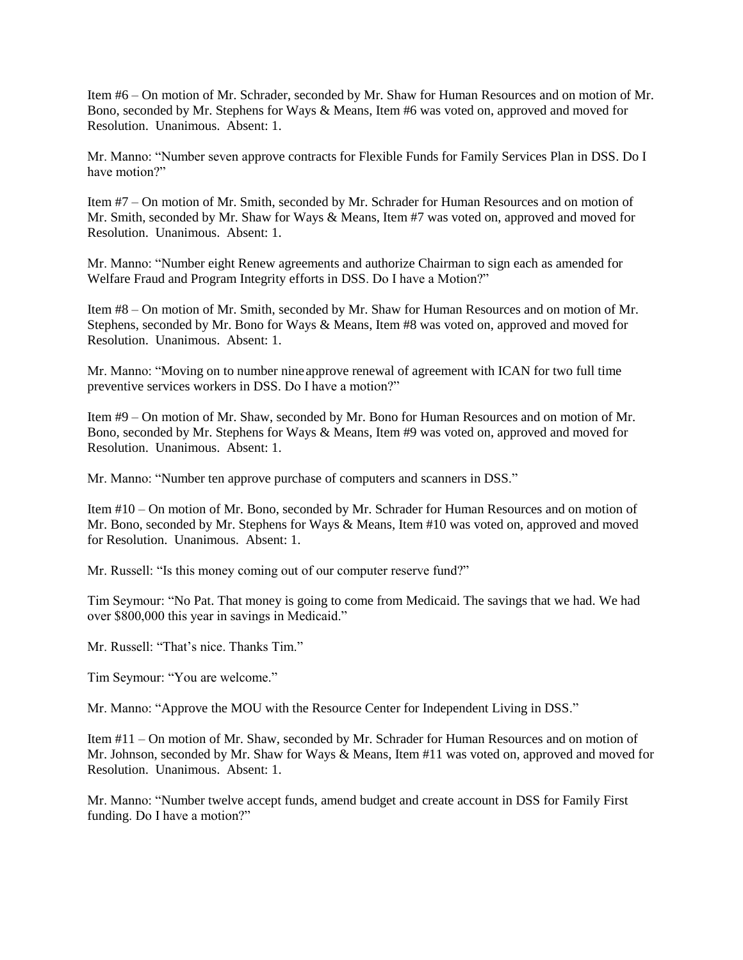Item #6 – On motion of Mr. Schrader, seconded by Mr. Shaw for Human Resources and on motion of Mr. Bono, seconded by Mr. Stephens for Ways & Means, Item #6 was voted on, approved and moved for Resolution. Unanimous. Absent: 1.

Mr. Manno: "Number seven approve contracts for Flexible Funds for Family Services Plan in DSS. Do I have motion?"

Item #7 – On motion of Mr. Smith, seconded by Mr. Schrader for Human Resources and on motion of Mr. Smith, seconded by Mr. Shaw for Ways & Means, Item #7 was voted on, approved and moved for Resolution. Unanimous. Absent: 1.

Mr. Manno: "Number eight Renew agreements and authorize Chairman to sign each as amended for Welfare Fraud and Program Integrity efforts in DSS. Do I have a Motion?"

Item #8 – On motion of Mr. Smith, seconded by Mr. Shaw for Human Resources and on motion of Mr. Stephens, seconded by Mr. Bono for Ways & Means, Item #8 was voted on, approved and moved for Resolution. Unanimous. Absent: 1.

Mr. Manno: "Moving on to number nineapprove renewal of agreement with ICAN for two full time preventive services workers in DSS. Do I have a motion?"

Item #9 – On motion of Mr. Shaw, seconded by Mr. Bono for Human Resources and on motion of Mr. Bono, seconded by Mr. Stephens for Ways & Means, Item #9 was voted on, approved and moved for Resolution. Unanimous. Absent: 1.

Mr. Manno: "Number ten approve purchase of computers and scanners in DSS."

Item #10 – On motion of Mr. Bono, seconded by Mr. Schrader for Human Resources and on motion of Mr. Bono, seconded by Mr. Stephens for Ways & Means, Item #10 was voted on, approved and moved for Resolution. Unanimous. Absent: 1.

Mr. Russell: "Is this money coming out of our computer reserve fund?"

Tim Seymour: "No Pat. That money is going to come from Medicaid. The savings that we had. We had over \$800,000 this year in savings in Medicaid."

Mr. Russell: "That's nice. Thanks Tim."

Tim Seymour: "You are welcome."

Mr. Manno: "Approve the MOU with the Resource Center for Independent Living in DSS."

Item #11 – On motion of Mr. Shaw, seconded by Mr. Schrader for Human Resources and on motion of Mr. Johnson, seconded by Mr. Shaw for Ways & Means, Item #11 was voted on, approved and moved for Resolution. Unanimous. Absent: 1.

Mr. Manno: "Number twelve accept funds, amend budget and create account in DSS for Family First funding. Do I have a motion?"